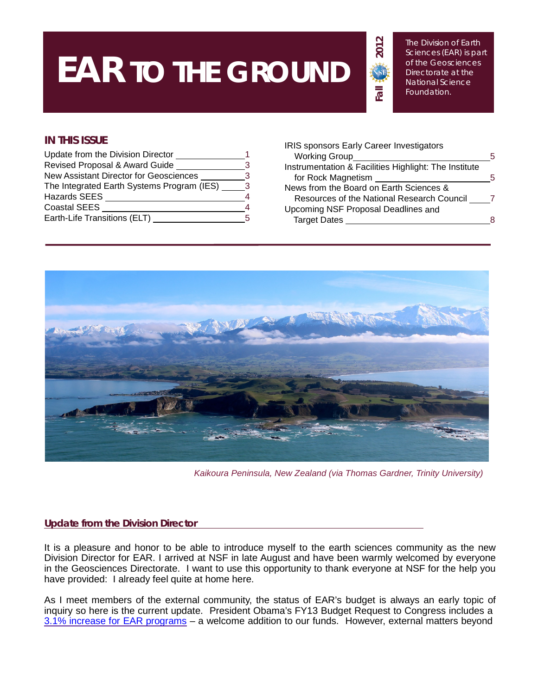# **EAR TO THE GROUND**

The Division of Earth Sciences (EAR) is part of the Geosciences Directorate at the National Science Foundation.

# **IN THIS ISSUE**

| Update from the Division Director          |    |
|--------------------------------------------|----|
| Revised Proposal & Award Guide             | ર  |
| New Assistant Director for Geosciences     | 3  |
| The Integrated Earth Systems Program (IES) | 3  |
| Hazards SEES                               |    |
| <b>Coastal SEES</b>                        |    |
| Earth-Life Transitions (ELT)               | 5. |

| <b>IRIS sponsors Early Career Investigators</b>       |    |
|-------------------------------------------------------|----|
| <b>Working Group</b>                                  | .h |
| Instrumentation & Facilities Highlight: The Institute |    |
| for Rock Magnetism                                    | .h |
| News from the Board on Earth Sciences &               |    |
| Resources of the National Research Council            |    |
| Upcoming NSF Proposal Deadlines and                   |    |
| <b>Target Dates</b>                                   |    |
|                                                       |    |

**Fall 201**

 $\overline{\overline{5}}$ 

**2**



*Kaikoura Peninsula, New Zealand (via Thomas Gardner, Trinity University)*

### **Update from the Division Director**

It is a pleasure and honor to be able to introduce myself to the earth sciences community as the new Division Director for EAR. I arrived at NSF in late August and have been warmly welcomed by everyone in the Geosciences Directorate. I want to use this opportunity to thank everyone at NSF for the help you have provided: I already feel quite at home here.

As I meet members of the external community, the status of EAR's budget is always an early topic of inquiry so here is the current update. President Obama's FY13 Budget Request to Congress includes a 3.1% increase for EAR [programs](http://www.nsf.gov/geo/budget.jsp) – a welcome addition to our funds. However, external matters beyond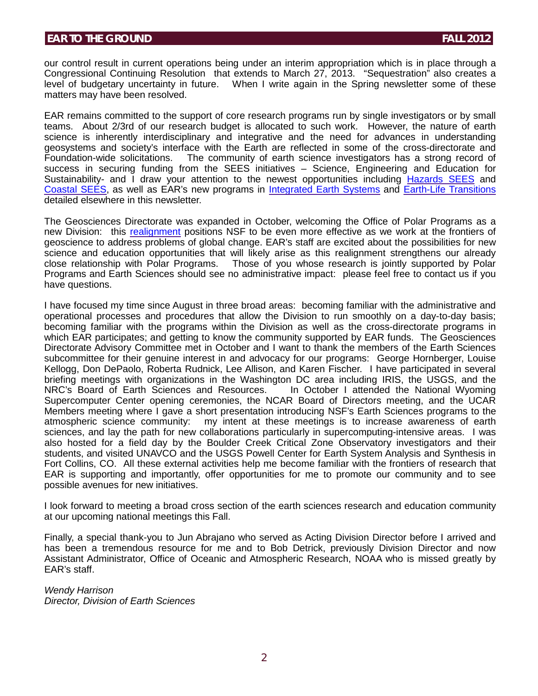our control result in current operations being under an interim appropriation which is in place through a Congressional Continuing Resolution that extends to March 27, 2013. "Sequestration" also creates a level of budgetary uncertainty in future. When I write again in the Spring newsletter some of these matters may have been resolved.

EAR remains committed to the support of core research programs run by single investigators or by small teams. About 2/3rd of our research budget is allocated to such work. However, the nature of earth science is inherently interdisciplinary and integrative and the need for advances in understanding geosystems and society's interface with the Earth are reflected in some of the cross-directorate and Foundation-wide solicitations. The community of earth science investigators has a strong record of success in securing funding from the SEES initiatives – Science, Engineering and Education for Sustainability- and I draw your attention to the newest opportunities including [Hazards](http://www.nsf.gov/funding/pgm_summ.jsp?pims_id=504804) SEES and [Coastal](http://www.nsf.gov/funding/pgm_summ.jsp?pims_id=504816) SEES, as well as EAR's new programs in [Integrated](http://www.nsf.gov/publications/pub_summ.jsp?ods_key=nsf12613) Earth Systems and Earth-Life [Transitions](http://www.nsf.gov/funding/pgm_summ.jsp?pims_id=13691) detailed elsewhere in this newsletter.

The Geosciences Directorate was expanded in October, welcoming the Office of Polar Programs as a new Division: this [realignment](http://www.nsf.gov/news/news_summ.jsp?cntn_id=125381) positions NSF to be even more effective as we work at the frontiers of geoscience to address problems of global change. EAR's staff are excited about the possibilities for new science and education opportunities that will likely arise as this realignment strengthens our already close relationship with Polar Programs. Those of you whose research is jointly supported by Polar Programs and Earth Sciences should see no administrative impact: please feel free to contact us if you have questions.

I have focused my time since August in three broad areas: becoming familiar with the administrative and operational processes and procedures that allow the Division to run smoothly on a day-to-day basis; becoming familiar with the programs within the Division as well as the cross-directorate programs in which EAR participates; and getting to know the community supported by EAR funds. The Geosciences Directorate Advisory Committee met in October and I want to thank the members of the Earth Sciences subcommittee for their genuine interest in and advocacy for our programs: George Hornberger, Louise Kellogg, Don DePaolo, Roberta Rudnick, Lee Allison, and Karen Fischer. I have participated in several briefing meetings with organizations in the Washington DC area including IRIS, the USGS, and the NRC's Board of Earth Sciences and Resources. In October I attended the National Wyoming Supercomputer Center opening ceremonies, the NCAR Board of Directors meeting, and the UCAR Members meeting where I gave a short presentation introducing NSF's Earth Sciences programs to the atmospheric science community: my intent at these meetings is to increase awareness of earth sciences, and lay the path for new collaborations particularly in supercomputing-intensive areas. I was also hosted for a field day by the Boulder Creek Critical Zone Observatory investigators and their students, and visited UNAVCO and the USGS Powell Center for Earth System Analysis and Synthesis in Fort Collins, CO. All these external activities help me become familiar with the frontiers of research that EAR is supporting and importantly, offer opportunities for me to promote our community and to see possible avenues for new initiatives.

I look forward to meeting a broad cross section of the earth sciences research and education community at our upcoming national meetings this Fall.

Finally, a special thank-you to Jun Abrajano who served as Acting Division Director before I arrived and has been a tremendous resource for me and to Bob Detrick, previously Division Director and now Assistant Administrator, Office of Oceanic and Atmospheric Research, NOAA who is missed greatly by EAR's staff.

*Wendy Harrison Director, Division of Earth Sciences*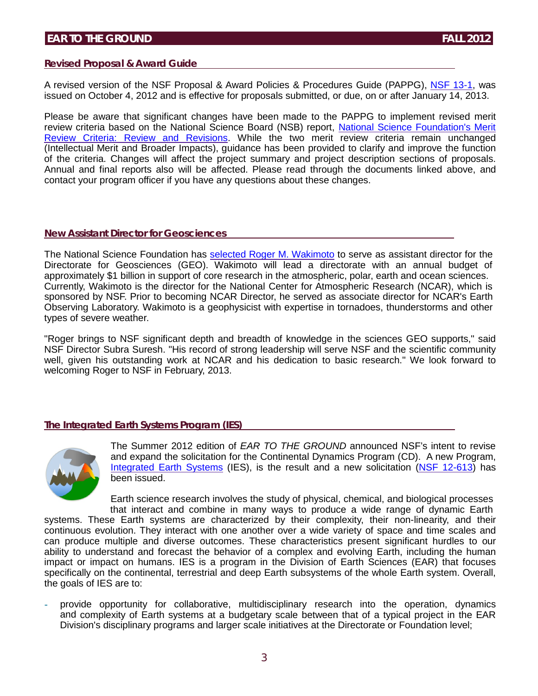#### **Revised Proposal & Award Guide**

A revised version of the NSF Proposal & Award Policies & Procedures Guide (PAPPG), NSF [13-1,](http://www.nsf.gov/publications/pub_summ.jsp?ods_key=nsf13001) was issued on October 4, 2012 and is effective for proposals submitted, or due, on or after January 14, 2013.

Please be aware that significant changes have been made to the PAPPG to implement revised merit review criteria based on the National Science Board (NSB) report, National Science [Foundation's](http://www.nsf.gov/nsb/publications/2011/meritreviewcriteria.pdf) Merit [Review Criteria: Review and Revisions.](http://www.nsf.gov/nsb/publications/2011/meritreviewcriteria.pdf) While the two merit review criteria remain unchanged (Intellectual Merit and Broader Impacts), guidance has been provided to clarify and improve the function of the criteria. Changes will affect the project summary and project description sections of proposals. Annual and final reports also will be affected. Please read through the documents linked above, and contact your program officer if you have any questions about these changes.

#### **New Assistant Director for Geosciences**

The National Science Foundation has selected Roger M. [Wakimoto](http://www.nsf.gov/news/news_summ.jsp?cntn_id=126005&org=GEO&from=news) to serve as assistant director for the Directorate for Geosciences (GEO). Wakimoto will lead a directorate with an annual budget of approximately \$1 billion in support of core research in the atmospheric, polar, earth and ocean sciences. Currently, Wakimoto is the director for the National Center for Atmospheric Research (NCAR), which is sponsored by NSF. Prior to becoming NCAR Director, he served as associate director for NCAR's Earth Observing Laboratory. Wakimoto is a geophysicist with expertise in tornadoes, thunderstorms and other types of severe weather.

"Roger brings to NSF significant depth and breadth of knowledge in the sciences GEO supports," said NSF Director Subra Suresh. "His record of strong leadership will serve NSF and the scientific community well, given his outstanding work at NCAR and his dedication to basic research." We look forward to welcoming Roger to NSF in February, 2013.

### **The Integrated Earth Systems Program (IES)**



The Summer 2012 edition of *EAR TO THE GROUND* announced NSF's intent to revise and expand the solicitation for the Continental Dynamics Program (CD). A new Program, [Integrated](http://www.nsf.gov/funding/pgm_summ.jsp?pims_id=504833) Earth Systems (IES), is the result and a new solicitation (NSF [12-613\)](http://nsf.gov/funding/pgm_summ.jsp?pims_id=504833) has been issued.

Earth science research involves the study of physical, chemical, and biological processes that interact and combine in many ways to produce a wide range of dynamic Earth systems. These Earth systems are characterized by their complexity, their non-linearity, and their continuous evolution. They interact with one another over a wide variety of space and time scales and can produce multiple and diverse outcomes. These characteristics present significant hurdles to our ability to understand and forecast the behavior of a complex and evolving Earth, including the human impact or impact on humans. IES is a program in the Division of Earth Sciences (EAR) that focuses specifically on the continental, terrestrial and deep Earth subsystems of the whole Earth system. Overall, the goals of IES are to:

provide opportunity for collaborative, multidisciplinary research into the operation, dynamics and complexity of Earth systems at a budgetary scale between that of a typical project in the EAR Division's disciplinary programs and larger scale initiatives at the Directorate or Foundation level;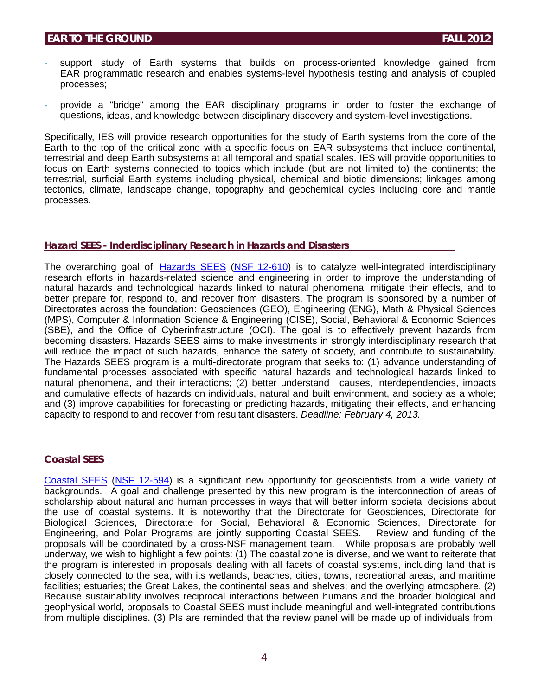- support study of Earth systems that builds on process-oriented knowledge gained from EAR programmatic research and enables systems-level hypothesis testing and analysis of coupled processes;
- provide a "bridge" among the EAR disciplinary programs in order to foster the exchange of questions, ideas, and knowledge between disciplinary discovery and system-level investigations.

Specifically, IES will provide research opportunities for the study of Earth systems from the core of the Earth to the top of the critical zone with a specific focus on EAR subsystems that include continental, terrestrial and deep Earth subsystems at all temporal and spatial scales. IES will provide opportunities to focus on Earth systems connected to topics which include (but are not limited to) the continents; the terrestrial, surficial Earth systems including physical, chemical and biotic dimensions; linkages among tectonics, climate, landscape change, topography and geochemical cycles including core and mantle processes.

#### **Hazard SEES - Inderdisciplinary Research in Hazards and Disasters**

The overarching goal of [Hazards](http://www.nsf.gov/funding/pgm_summ.jsp?pims_id=504804) SEES [\(NSF 12-610\)](http://www.nsf.gov/publications/pub_summ.jsp?ods_key=nsf12610) is to catalyze well-integrated interdisciplinary research efforts in hazards-related science and engineering in order to improve the understanding of natural hazards and technological hazards linked to natural phenomena, mitigate their effects, and to better prepare for, respond to, and recover from disasters. The program is sponsored by a number of Directorates across the foundation: Geosciences (GEO), Engineering (ENG), Math & Physical Sciences (MPS), Computer & Information Science & Engineering (CISE), Social, Behavioral & Economic Sciences (SBE), and the Office of Cyberinfrastructure (OCI). The goal is to effectively prevent hazards from becoming disasters. Hazards SEES aims to make investments in strongly interdisciplinary research that will reduce the impact of such hazards, enhance the safety of society, and contribute to sustainability. The Hazards SEES program is a multi-directorate program that seeks to: (1) advance understanding of fundamental processes associated with specific natural hazards and technological hazards linked to natural phenomena, and their interactions; (2) better understand causes, interdependencies, impacts and cumulative effects of hazards on individuals, natural and built environment, and society as a whole; and (3) improve capabilities for forecasting or predicting hazards, mitigating their effects, and enhancing capacity to respond to and recover from resultant disasters. *Deadline: February 4, 2013.*

### **Coastal SEES**

[Coastal SEES](http://www.nsf.gov/funding/pgm_summ.jsp?pims_id=504816) [\(NSF 12-594\)](http://www.nsf.gov/publications/pub_summ.jsp?ods_key=nsf12594) is a significant new opportunity for geoscientists from a wide variety of backgrounds. A goal and challenge presented by this new program is the interconnection of areas of scholarship about natural and human processes in ways that will better inform societal decisions about the use of coastal systems. It is noteworthy that the Directorate for Geosciences, Directorate for Biological Sciences, Directorate for Social, Behavioral & Economic Sciences, Directorate for Engineering, and Polar Programs are jointly supporting Coastal SEES. Review and funding of the proposals will be coordinated by a cross-NSF management team. While proposals are probably well underway, we wish to highlight a few points: (1) The coastal zone is diverse, and we want to reiterate that the program is interested in proposals dealing with all facets of coastal systems, including land that is closely connected to the sea, with its wetlands, beaches, cities, towns, recreational areas, and maritime facilities; estuaries; the Great Lakes, the continental seas and shelves; and the overlying atmosphere. (2) Because sustainability involves reciprocal interactions between humans and the broader biological and geophysical world, proposals to Coastal SEES must include meaningful and well-integrated contributions from multiple disciplines. (3) PIs are reminded that the review panel will be made up of individuals from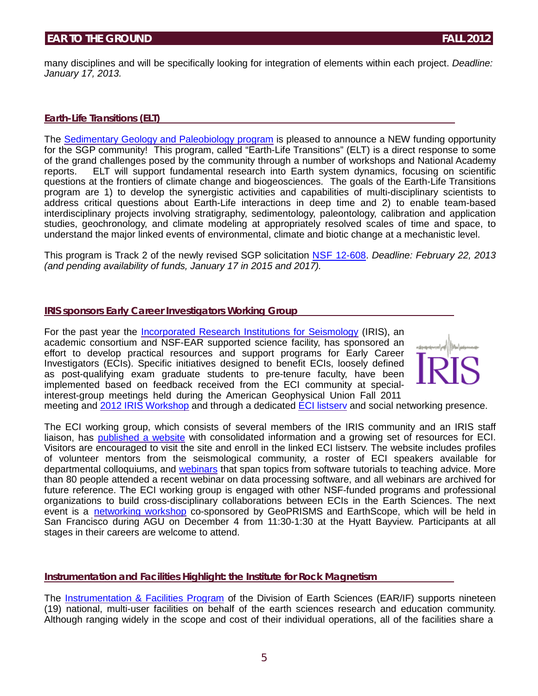many disciplines and will be specifically looking for integration of elements within each project. *Deadline: January 17, 2013.*

#### **Earth-Life Transitions (ELT)**

The [Sedimentary](http://www.nsf.gov/funding/pgm_summ.jsp?pims_id=13691) Geology and Paleobiology program is pleased to announce a NEW funding opportunity for the SGP community! This program, called "Earth-Life Transitions" (ELT) is a direct response to some of the grand challenges posed by the community through a number of workshops and National Academy reports. ELT will support fundamental research into Earth system dynamics, focusing on scientific questions at the frontiers of climate change and biogeosciences. The goals of the Earth-Life Transitions program are 1) to develop the synergistic activities and capabilities of multi-disciplinary scientists to address critical questions about Earth-Life interactions in deep time and 2) to enable team-based interdisciplinary projects involving stratigraphy, sedimentology, paleontology, calibration and application studies, geochronology, and climate modeling at appropriately resolved scales of time and space, to understand the major linked events of environmental, climate and biotic change at a mechanistic level.

This program is Track 2 of the newly revised SGP solicitation [NSF 12-608.](http://www.nsf.gov/publications/pub_summ.jsp?ods_key=nsf12608) *Deadline: February 22, 2013 (and pending availability of funds, January 17 in 2015 and 2017).*

#### **IRIS sponsors Early Career Investigators Working Group**

For the past year the *Incorporated Research Institutions for Seismology* (IRIS), an academic consortium and NSF-EAR supported science facility, has sponsored an effort to develop practical resources and support programs for Early Career Investigators (ECIs). Specific initiatives designed to benefit ECIs, loosely defined as post-qualifying exam graduate students to pre-tenure faculty, have been implemented based on feedback received from the ECI community at specialinterest-group meetings held during the American Geophysical Union Fall 2011



meeting and 2012 IRIS [Workshop](http://www.nsf.gov/cgi-bin/goodbye?http://www.iris.edu/hq/iris_workshop2012/) and through a dedicated ECI [listserv](http://www.nsf.gov/cgi-bin/goodbye?http://norman.iris.washington.edu/mailman/listinfo/earlycareers) and social networking presence.

The ECI working group, which consists of several members of the IRIS community and an IRIS staff liaison, has [published](http://www.nsf.gov/cgi-bin/goodbye?http://www.iris.edu/hq/eci) a website with consolidated information and a growing set of resources for ECI. Visitors are encouraged to visit the site and enroll in the linked ECI listserv. The website includes profiles of volunteer mentors from the seismological community, a roster of ECI speakers available for departmental colloquiums, and [webinars](http://www.nsf.gov/cgi-bin/goodbye?http://www.iris.edu/hq/webinar/) that span topics from software tutorials to teaching advice. More than 80 people attended a recent webinar on data processing software, and all webinars are archived for future reference. The ECI working group is engaged with other NSF-funded programs and professional organizations to build cross-disciplinary collaborations between ECIs in the Earth Sciences. The next event is a [networking](http://www.nsf.gov/cgi-bin/goodbye?http://www.geoprisms.org/agu-mini-workshops/eci-agu2012.html) workshop co-sponsored by GeoPRISMS and EarthScope, which will be held in San Francisco during AGU on December 4 from 11:30-1:30 at the Hyatt Bayview. Participants at all stages in their careers are welcome to attend.

#### **Instrumentation and Facilities Highlight: the Institute for Rock Magnetism**

The [Instrumentation](http://nsf.gov/funding/pgm_summ.jsp?pims_id=6186&org=EAR&from=home) & Facilities Program of the Division of Earth Sciences (EAR/IF) supports nineteen (19) national, multi-user facilities on behalf of the earth sciences research and education community. Although ranging widely in the scope and cost of their individual operations, all of the facilities share a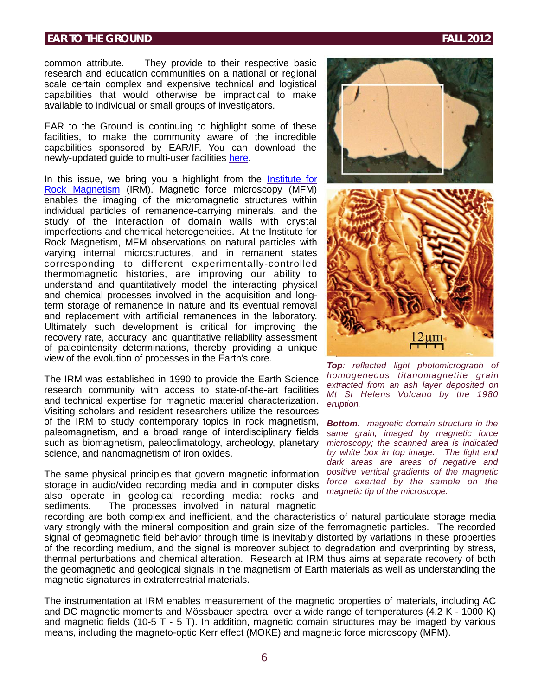common attribute. They provide to their respective basic research and education communities on a national or regional scale certain complex and expensive technical and logistical capabilities that would otherwise be impractical to make available to individual or small groups of investigators.

EAR to the Ground is continuing to highlight some of these facilities, to make the community aware of the incredible capabilities sponsored by EAR/IF. You can download the newly-updated guide to multi-user facilities [here.](http://www.nsf.gov/geo/ear/if/guidelines2012.pdf)

In this issue, we bring you a highlight from the [Institute](http://www.nsf.gov/cgi-bin/goodbye?http://www.irm.umn.edu/) for Rock [Magnetism](http://www.nsf.gov/cgi-bin/goodbye?http://www.irm.umn.edu/) (IRM). Magnetic force microscopy (MFM) enables the imaging of the micromagnetic structures within individual particles of remanence-carrying minerals, and the study of the interaction of domain walls with crystal imperfections and chemical heterogeneities. At the Institute for Rock Magnetism, MFM observations on natural particles with varying internal microstructures, and in remanent states corresponding to different experimentally-controlled thermomagnetic histories, are improving our ability to understand and quantitatively model the interacting physical and chemical processes involved in the acquisition and longterm storage of remanence in nature and its eventual removal and replacement with artificial remanences in the laboratory. Ultimately such development is critical for improving the recovery rate, accuracy, and quantitative reliability assessment of paleointensity determinations, thereby providing a unique view of the evolution of processes in the Earth's core.

The IRM was established in 1990 to provide the Earth Science research community with access to state-of-the-art facilities and technical expertise for magnetic material characterization. Visiting scholars and resident researchers utilize the resources of the IRM to study contemporary topics in rock magnetism, paleomagnetism, and a broad range of interdisciplinary fields such as biomagnetism, paleoclimatology, archeology, planetary science, and nanomagnetism of iron oxides.

The same physical principles that govern magnetic information storage in audio/video recording media and in computer disks also operate in geological recording media: rocks and sediments. The processes involved in natural magnetic

recording are both complex and inefficient, and the characteristics of natural particulate storage media vary strongly with the mineral composition and grain size of the ferromagnetic particles. The recorded signal of geomagnetic field behavior through time is inevitably distorted by variations in these properties of the recording medium, and the signal is moreover subject to degradation and overprinting by stress, thermal perturbations and chemical alteration. Research at IRM thus aims at separate recovery of both the geomagnetic and geological signals in the magnetism of Earth materials as well as understanding the magnetic signatures in extraterrestrial materials.

The instrumentation at IRM enables measurement of the magnetic properties of materials, including AC and DC magnetic moments and Mössbauer spectra, over a wide range of temperatures (4.2 K - 1000 K) and magnetic fields (10-5 T - 5 T). In addition, magnetic domain structures may be imaged by various means, including the magneto-optic Kerr effect (MOKE) and magnetic force microscopy (MFM).



*Top: reflected light photomicrograph of homogeneous titanomagnetite grain extracted from an ash layer deposited on Mt St Helens Volcano by the 1980 eruption.*

*Bottom: magnetic domain structure in the same grain, imaged by magnetic force microscopy; the scanned area is indicated by white box in top image. The light and dark areas are areas of negative and positive vertical gradients of the magnetic force exerted by the sample on the magnetic tip of the microscope.*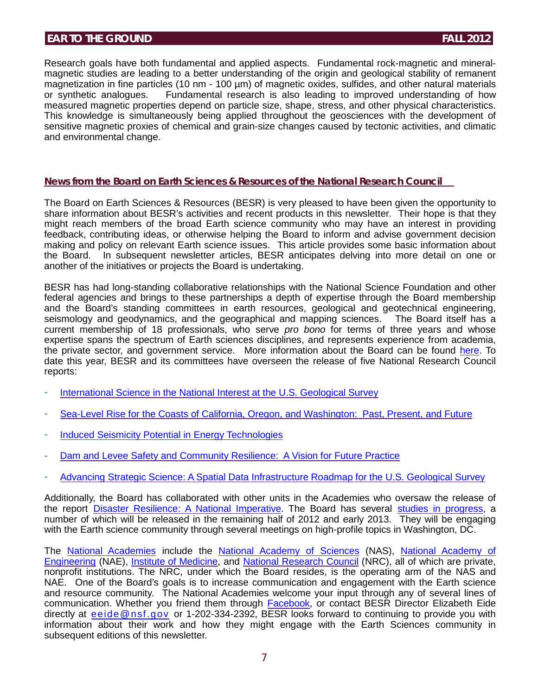Research goals have both fundamental and applied aspects. Fundamental rock-magnetic and mineralmagnetic studies are leading to a better understanding of the origin and geological stability of remanent magnetization in fine particles (10 nm - 100 µm) of magnetic oxides, sulfides, and other natural materials or synthetic analogues. Fundamental research is also leading to improved understanding of how measured magnetic properties depend on particle size, shape, stress, and other physical characteristics. This knowledge is simultaneously being applied throughout the geosciences with the development of sensitive magnetic proxies of chemical and grain-size changes caused by tectonic activities, and climatic and environmental change.

#### **News from the Board on Earth Sciences & Resources of the National Research Council**

The Board on Earth Sciences & Resources (BESR) is very pleased to have been given the opportunity to share information about BESR's activities and recent products in this newsletter. Their hope is that they might reach members of the broad Earth science community who may have an interest in providing feedback, contributing ideas, or otherwise helping the Board to inform and advise government decision making and policy on relevant Earth science issues. This article provides some basic information about the Board. In subsequent newsletter articles, BESR anticipates delving into more detail on one or another of the initiatives or projects the Board is undertaking.

BESR has had long-standing collaborative relationships with the National Science Foundation and other federal agencies and brings to these partnerships a depth of expertise through the Board membership and the Board's standing committees in earth resources, geological and geotechnical engineering, seismology and geodynamics, and the geographical and mapping sciences. The Board itself has a current membership of 18 professionals, who serve *pro bono* for terms of three years and whose expertise spans the spectrum of Earth sciences disciplines, and represents experience from academia, the private sector, and government service. More information about the Board can be found [here.](http://www.nsf.gov/cgi-bin/goodbye?http://dels.nas.edu/besr) To date this year, BESR and its committees have overseen the release of five National Research Council reports:

- [International](http://www.nsf.gov/cgi-bin/goodbye?http://dels.nas.edu/Materials/Report-In-Brief/4306-USGS) Science in the National Interest at the U.S. Geological Survey
- Sea-Level Rise for the Coasts of California, Oregon, and [Washington:](http://www.nsf.gov/cgi-bin/goodbye?http://dels.nas.edu/Report/Level-Rise-Coasts/13389) Past, Present, and Future
- Induced Seismicity Potential in Energy [Technologies](http://www.nsf.gov/cgi-bin/goodbye?http://dels.nas.edu/Report/Induced-Seismicity-Potential-Energy-Technologies/13355)
- Dam and Levee Safety and [Community](http://www.nsf.gov/cgi-bin/goodbye?http://dels.nas.edu/Report/Levee-Safety-Community/13393) Resilience: A Vision for Future Practice
- Advancing Strategic Science: A Spatial Data [Infrastructure](http://www.nsf.gov/cgi-bin/goodbye?http://dels.nas.edu/Report/Advancing-Strategic-Science-Spatial-Data/13506) Roadmap for the U.S. Geological Survey

Additionally, the Board has collaborated with other units in the Academies who oversaw the release of the report Disaster [Resilience:](http://www.nsf.gov/cgi-bin/goodbye?http://www.nap.edu/catalog.php?record_id=13457) A National Imperative. The Board has several studies in [progress,](http://www.nsf.gov/cgi-bin/goodbye?http://dels.nas.edu/besr/Studies-In-Progress) a number of which will be released in the remaining half of 2012 and early 2013. They will be engaging with the Earth science community through several meetings on high-profile topics in Washington, DC.

The National [Academies](http://www.nsf.gov/cgi-bin/goodbye?http://www.nationalacademies.org/index.html) include the National [Academy of Sciences](http://www.nsf.gov/cgi-bin/goodbye?http://www.nasonline.org/site/PageServer) (NAS), National [Academy of](http://www.nsf.gov/cgi-bin/goodbye?http://www.nae.edu/) [Engineering](http://www.nsf.gov/cgi-bin/goodbye?http://www.nae.edu/) (NAE), Institute of [Medicine,](http://www.nsf.gov/cgi-bin/goodbye?http://www.iom.edu/) and National [Research](http://www.nsf.gov/cgi-bin/goodbye?http://www.nationalacademies.org/nrc/index.html) Council (NRC), all of which are private, nonprofit institutions. The NRC, under which the Board resides, is the operating arm of the NAS and NAE. One of the Board's goals is to increase communication and engagement with the Earth science and resource community. The National Academies welcome your input through any of several lines of communication. Whether you friend them through **Facebook**, or contact BESR Director Elizabeth Eide directly at [eeide@nsf.gov](mailto:eeide@nsf.gov) or 1-202-334-2392, BESR looks forward to continuing to provide you with information about their work and how they might engage with the Earth Sciences community in subsequent editions of this newsletter.